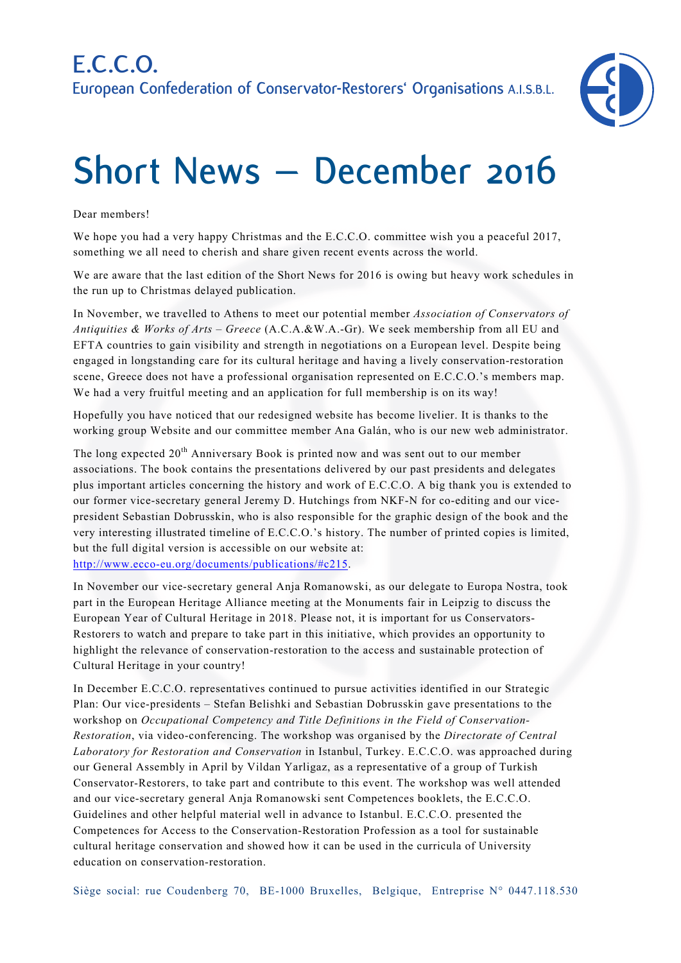

## **Short News – December 2016**

## Dear members!

We hope you had a very happy Christmas and the E.C.C.O. committee wish you a peaceful 2017, something we all need to cherish and share given recent events across the world.

We are aware that the last edition of the Short News for 2016 is owing but heavy work schedules in the run up to Christmas delayed publication.

In November, we travelled to Athens to meet our potential member *Association of Conservators of Antiquities & Works of Arts – Greece* (A.C.A.&W.A.-Gr). We seek membership from all EU and EFTA countries to gain visibility and strength in negotiations on a European level. Despite being engaged in longstanding care for its cultural heritage and having a lively conservation-restoration scene, Greece does not have a professional organisation represented on E.C.C.O.'s members map. We had a very fruitful meeting and an application for full membership is on its way!

Hopefully you have noticed that our redesigned website has become livelier. It is thanks to the working group Website and our committee member Ana Galán, who is our new web administrator.

The long expected 20<sup>th</sup> Anniversary Book is printed now and was sent out to our member associations. The book contains the presentations delivered by our past presidents and delegates plus important articles concerning the history and work of E.C.C.O. A big thank you is extended to our former vice-secretary general Jeremy D. Hutchings from NKF-N for co-editing and our vicepresident Sebastian Dobrusskin, who is also responsible for the graphic design of the book and the very interesting illustrated timeline of E.C.C.O.'s history. The number of printed copies is limited, but the full digital version is accessible on our website at: http://www.ecco-eu.org/documents/publications/#c215.

In November our vice-secretary general Anja Romanowski, as our delegate to Europa Nostra, took part in the European Heritage Alliance meeting at the Monuments fair in Leipzig to discuss the European Year of Cultural Heritage in 2018. Please not, it is important for us Conservators-Restorers to watch and prepare to take part in this initiative, which provides an opportunity to highlight the relevance of conservation-restoration to the access and sustainable protection of Cultural Heritage in your country!

In December E.C.C.O. representatives continued to pursue activities identified in our Strategic Plan: Our vice-presidents – Stefan Belishki and Sebastian Dobrusskin gave presentations to the workshop on *Occupational Competency and Title Definitions in the Field of Conservation-Restoration*, via video-conferencing. The workshop was organised by the *Directorate of Central Laboratory for Restoration and Conservation* in Istanbul, Turkey. E.C.C.O. was approached during our General Assembly in April by Vildan Yarligaz, as a representative of a group of Turkish Conservator-Restorers, to take part and contribute to this event. The workshop was well attended and our vice-secretary general Anja Romanowski sent Competences booklets, the E.C.C.O. Guidelines and other helpful material well in advance to Istanbul. E.C.C.O. presented the Competences for Access to the Conservation-Restoration Profession as a tool for sustainable cultural heritage conservation and showed how it can be used in the curricula of University education on conservation-restoration.